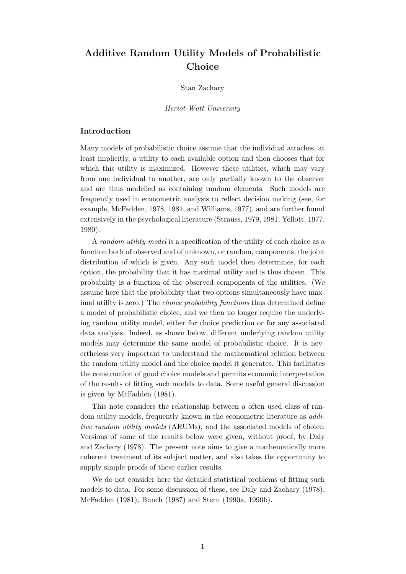# Additive Random Utility Models of Probabilistic Choice

#### Stan Zachary

#### Heriot-Watt University

## Introduction

Many models of probabilistic choice assume that the individual attaches, at least implicitly, a utility to each available option and then chooses that for which this utility is maximized. However these utilities, which may vary from one individual to another, are only partially known to the observer and are thus modelled as containing random elements. Such models are frequently used in econometric analysis to reflect decision making (see, for example, McFadden, 1978, 1981, and Williams, 1977), and are further found extensively in the psychological literature (Strauss, 1979, 1981; Yellott, 1977, 1980).

A random utility model is a specification of the utility of each choice as a function both of observed and of unknown, or random, components, the joint distribution of which is given. Any such model then determines, for each option, the probability that it has maximal utility and is thus chosen. This probability is a function of the observed components of the utilities. (We assume here that the probability that two options simultaneously have maximal utility is zero.) The *choice probability functions* thus determined define a model of probabilistic choice, and we then no longer require the underlying random utility model, either for choice prediction or for any associated data analysis. Indeed, as shown below, different underlying random utility models may determine the same model of probabilistic choice. It is nevertheless very important to understand the mathematical relation between the random utility model and the choice model it generates. This facilitates the construction of good choice models and permits economic interpretation of the results of fitting such models to data. Some useful general discussion is given by McFadden (1981).

This note considers the relationship between a often used class of random utility models, frequently known in the econometric literature as additive random utility models (ARUMs), and the associated models of choice. Versions of some of the results below were given, without proof, by Daly and Zachary (1978). The present note aims to give a mathematically more coherent treatment of its subject matter, and also takes the opportunity to supply simple proofs of these earlier results.

We do not consider here the detailed statistical problems of fitting such models to data. For some discussion of these, see Daly and Zachary (1978), McFadden (1981), Bunch (1987) and Stern (1990a, 1990b).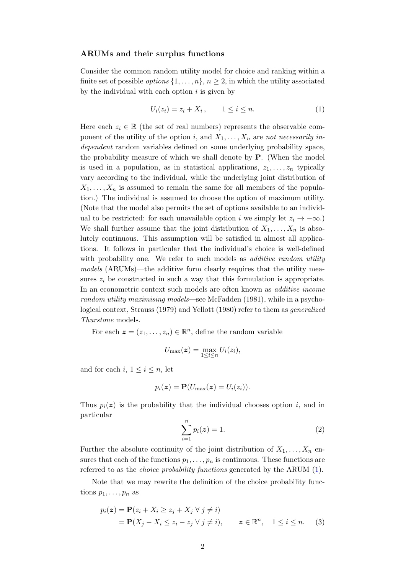#### ARUMs and their surplus functions

Consider the common random utility model for choice and ranking within a finite set of possible *options*  $\{1, \ldots, n\}, n \geq 2$ , in which the utility associated by the individual with each option  $i$  is given by

<span id="page-1-0"></span>
$$
U_i(z_i) = z_i + X_i, \qquad 1 \le i \le n. \tag{1}
$$

Here each  $z_i \in \mathbb{R}$  (the set of real numbers) represents the observable component of the utility of the option i, and  $X_1, \ldots, X_n$  are not necessarily independent random variables defined on some underlying probability space, the probability measure of which we shall denote by P. (When the model is used in a population, as in statistical applications,  $z_1, \ldots, z_n$  typically vary according to the individual, while the underlying joint distribution of  $X_1, \ldots, X_n$  is assumed to remain the same for all members of the population.) The individual is assumed to choose the option of maximum utility. (Note that the model also permits the set of options available to an individual to be restricted: for each unavailable option i we simply let  $z_i \to -\infty$ .) We shall further assume that the joint distribution of  $X_1, \ldots, X_n$  is absolutely continuous. This assumption will be satisfied in almost all applications. It follows in particular that the individual's choice is well-defined with probability one. We refer to such models as *additive random utility* models (ARUMs)—the additive form clearly requires that the utility measures  $z_i$  be constructed in such a way that this formulation is appropriate. In an econometric context such models are often known as additive income random utility maximising models—see McFadden (1981), while in a psychological context, Strauss (1979) and Yellott (1980) refer to them as generalized Thurstone models.

For each  $\boldsymbol{z} = (z_1, \ldots, z_n) \in \mathbb{R}^n$ , define the random variable

$$
U_{\max}(\boldsymbol{z}) = \max_{1 \leq i \leq n} U_i(z_i),
$$

and for each i,  $1 \leq i \leq n$ , let

$$
p_i(\mathbf{z}) = \mathbf{P}(U_{\text{max}}(\mathbf{z}) = U_i(z_i)).
$$

Thus  $p_i(z)$  is the probability that the individual chooses option i, and in particular

<span id="page-1-1"></span>
$$
\sum_{i=1}^{n} p_i(z) = 1.
$$
 (2)

Further the absolute continuity of the joint distribution of  $X_1, \ldots, X_n$  ensures that each of the functions  $p_1, \ldots, p_n$  is continuous. These functions are referred to as the choice probability functions generated by the ARUM [\(1\)](#page-1-0).

Note that we may rewrite the definition of the choice probability functions  $p_1, \ldots, p_n$  as

$$
p_i(\mathbf{z}) = \mathbf{P}(z_i + X_i \ge z_j + X_j \ \forall \ j \neq i)
$$
  
=  $\mathbf{P}(X_j - X_i \le z_i - z_j \ \forall \ j \neq i), \qquad \mathbf{z} \in \mathbb{R}^n, \quad 1 \le i \le n.$  (3)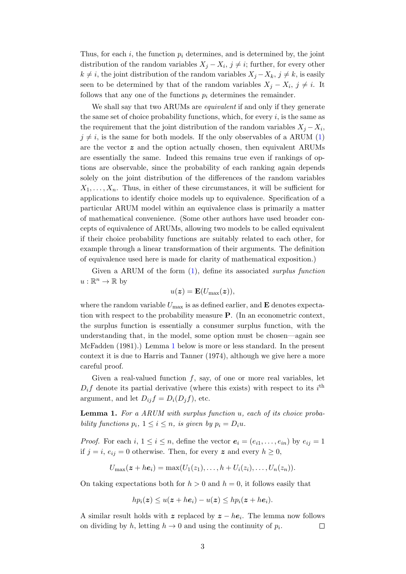Thus, for each i, the function  $p_i$  determines, and is determined by, the joint distribution of the random variables  $X_j - X_i$ ,  $j \neq i$ ; further, for every other  $k \neq i$ , the joint distribution of the random variables  $X_j - X_k$ ,  $j \neq k$ , is easily seen to be determined by that of the random variables  $X_j - X_i$ ,  $j \neq i$ . It follows that any one of the functions  $p_i$  determines the remainder.

We shall say that two ARUMs are *equivalent* if and only if they generate the same set of choice probability functions, which, for every  $i$ , is the same as the requirement that the joint distribution of the random variables  $X_j - X_i$ ,  $j \neq i$ , is the same for both models. If the only observables of a ARUM [\(1\)](#page-1-0) are the vector  $z$  and the option actually chosen, then equivalent ARUMs are essentially the same. Indeed this remains true even if rankings of options are observable, since the probability of each ranking again depends solely on the joint distribution of the differences of the random variables  $X_1, \ldots, X_n$ . Thus, in either of these circumstances, it will be sufficient for applications to identify choice models up to equivalence. Specification of a particular ARUM model within an equivalence class is primarily a matter of mathematical convenience. (Some other authors have used broader concepts of equivalence of ARUMs, allowing two models to be called equivalent if their choice probability functions are suitably related to each other, for example through a linear transformation of their arguments. The definition of equivalence used here is made for clarity of mathematical exposition.)

Given a ARUM of the form  $(1)$ , define its associated *surplus function*  $u:\mathbb{R}^n\to\mathbb{R}$  by

$$
u(\boldsymbol{z}) = \mathbf{E}(U_{\max}(\boldsymbol{z})),
$$

where the random variable  $U_{\text{max}}$  is as defined earlier, and  $\bf{E}$  denotes expectation with respect to the probability measure P. (In an econometric context, the surplus function is essentially a consumer surplus function, with the understanding that, in the model, some option must be chosen—again see McFadden (1981).) Lemma [1](#page-2-0) below is more or less standard. In the present context it is due to Harris and Tanner (1974), although we give here a more careful proof.

Given a real-valued function  $f$ , say, of one or more real variables, let  $D_i f$  denote its partial derivative (where this exists) with respect to its  $i^{\text{th}}$ argument, and let  $D_{ij}f = D_i(D_jf)$ , etc.

<span id="page-2-0"></span>Lemma 1. For a ARUM with surplus function u, each of its choice probability functions  $p_i$ ,  $1 \leq i \leq n$ , is given by  $p_i = D_i u$ .

*Proof.* For each  $i, 1 \leq i \leq n$ , define the vector  $e_i = (e_{i1}, \ldots, e_{in})$  by  $e_{ij} = 1$ if  $j = i$ ,  $e_{ij} = 0$  otherwise. Then, for every z and every  $h \geq 0$ ,

$$
U_{\max}(\boldsymbol{z}+h\boldsymbol{e}_i)=\max(U_1(z_1),\ldots,h+U_i(z_i),\ldots,U_n(z_n)).
$$

On taking expectations both for  $h > 0$  and  $h = 0$ , it follows easily that

$$
hp_i(z) \leq u(z+he_i) - u(z) \leq hp_i(z+he_i).
$$

A similar result holds with z replaced by  $z - he_i$ . The lemma now follows on dividing by h, letting  $h \to 0$  and using the continuity of  $p_i$ .  $\Box$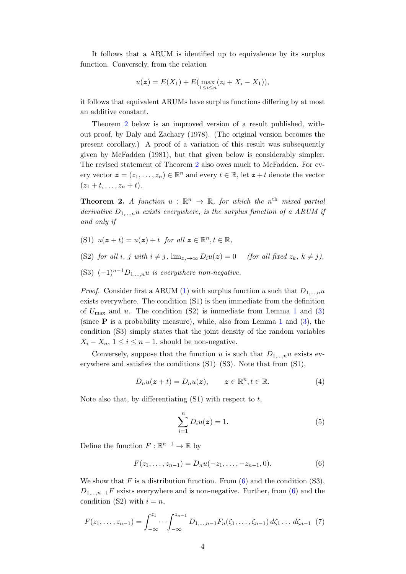It follows that a ARUM is identified up to equivalence by its surplus function. Conversely, from the relation

$$
u(z) = E(X_1) + E(\max_{1 \le i \le n} (z_i + X_i - X_1)),
$$

it follows that equivalent ARUMs have surplus functions differing by at most an additive constant.

Theorem [2](#page-3-0) below is an improved version of a result published, without proof, by Daly and Zachary (1978). (The original version becomes the present corollary.) A proof of a variation of this result was subsequently given by McFadden (1981), but that given below is considerably simpler. The revised statement of Theorem [2](#page-3-0) also owes much to McFadden. For every vector  $\boldsymbol{z} = (z_1, \ldots, z_n) \in \mathbb{R}^n$  and every  $t \in \mathbb{R}$ , let  $\boldsymbol{z} + t$  denote the vector  $(z_1 + t, \ldots, z_n + t).$ 

<span id="page-3-0"></span>**Theorem 2.** A function  $u : \mathbb{R}^n \to \mathbb{R}$ , for which the n<sup>th</sup> mixed partial derivative  $D_{1,...,n}u$  exists everywhere, is the surplus function of a ARUM if and only if

- (S1)  $u(z+t) = u(z) + t$  for all  $z \in \mathbb{R}^n, t \in \mathbb{R}$ ,
- (S2) for all i, j with  $i \neq j$ ,  $\lim_{z \to \infty} D_i u(z) = 0$  (for all fixed  $z_k$ ,  $k \neq j$ ),
- (S3)  $(-1)^{n-1}D_{1,\ldots,n}u$  is everywhere non-negative.

*Proof.* Consider first a ARUM [\(1\)](#page-1-0) with surplus function u such that  $D_{1,...,n}u$ exists everywhere. The condition (S1) is then immediate from the definition of  $U_{\text{max}}$  and u. The condition (S2) is immediate from Lemma [1](#page-2-0) and [\(3\)](#page-1-1) (since  $P$  is a probability measure), while, also from Lemma [1](#page-2-0) and [\(3\)](#page-1-1), the condition (S3) simply states that the joint density of the random variables  $X_i - X_n$ ,  $1 \leq i \leq n-1$ , should be non-negative.

Conversely, suppose that the function u is such that  $D_{1,...,n}u$  exists everywhere and satisfies the conditions (S1)–(S3). Note that from (S1),

<span id="page-3-2"></span>
$$
D_n u(z+t) = D_n u(z), \qquad z \in \mathbb{R}^n, t \in \mathbb{R}.
$$
 (4)

Note also that, by differentiating  $(S1)$  with respect to t,

$$
\sum_{i=1}^{n} D_i u(\mathbf{z}) = 1.
$$
 (5)

Define the function  $F: \mathbb{R}^{n-1} \to \mathbb{R}$  by

<span id="page-3-1"></span>
$$
F(z_1, \ldots, z_{n-1}) = D_n u(-z_1, \ldots, -z_{n-1}, 0). \tag{6}
$$

We show that F is a distribution function. From  $(6)$  and the condition  $(S3)$ ,  $D_{1,...,n-1}F$  exists everywhere and is non-negative. Further, from [\(6\)](#page-3-1) and the condition (S2) with  $i = n$ ,

$$
F(z_1,\ldots,z_{n-1})=\int_{-\infty}^{z_1}\cdots\int_{-\infty}^{z_{n-1}}D_{1,\ldots,n-1}F_n(\zeta_1,\ldots,\zeta_{n-1})\,d\zeta_1\ldots\,d\zeta_{n-1}\tag{7}
$$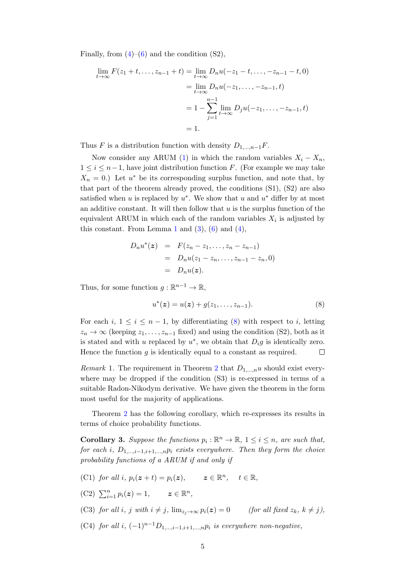Finally, from  $(4)$ – $(6)$  and the condition  $(S2)$ ,

$$
\lim_{t \to \infty} F(z_1 + t, \dots, z_{n-1} + t) = \lim_{t \to \infty} D_n u(-z_1 - t, \dots, -z_{n-1} - t, 0)
$$
  
= 
$$
\lim_{t \to \infty} D_n u(-z_1, \dots, -z_{n-1}, t)
$$
  
= 
$$
1 - \sum_{j=1}^{n-1} \lim_{t \to \infty} D_j u(-z_1, \dots, -z_{n-1}, t)
$$
  
= 1.

Thus F is a distribution function with density  $D_{1,\dots,n-1}F$ .

Now consider any ARUM [\(1\)](#page-1-0) in which the random variables  $X_i - X_n$ ,  $1 \leq i \leq n-1$ , have joint distribution function F. (For example we may take  $X_n = 0.$ ) Let  $u^*$  be its corresponding surplus function, and note that, by that part of the theorem already proved, the conditions (S1), (S2) are also satisfied when u is replaced by  $u^*$ . We show that u and  $u^*$  differ by at most an additive constant. It will then follow that  $u$  is the surplus function of the equivalent ARUM in which each of the random variables  $X_i$  is adjusted by this constant. From Lemma [1](#page-2-0) and  $(3)$ ,  $(6)$  and  $(4)$ ,

<span id="page-4-0"></span>
$$
D_n u^*(z) = F(z_n - z_1, ..., z_n - z_{n-1})
$$
  
= 
$$
D_n u(z_1 - z_n, ..., z_{n-1} - z_n, 0)
$$
  
= 
$$
D_n u(z).
$$

Thus, for some function  $g: \mathbb{R}^{n-1} \to \mathbb{R}$ ,

$$
u^*(z) = u(z) + g(z_1, \dots, z_{n-1}).
$$
\n(8)

For each  $i, 1 \leq i \leq n-1$ , by differentiating [\(8\)](#page-4-0) with respect to i, letting  $z_n \to \infty$  (keeping  $z_1, \ldots, z_{n-1}$  fixed) and using the condition (S2), both as it is stated and with u replaced by  $u^*$ , we obtain that  $D_i g$  is identically zero. Hence the function  $g$  is identically equal to a constant as required.  $\Box$ 

*Remark* 1. The requirement in Theorem [2](#page-3-0) that  $D_{1,...,n}u$  should exist everywhere may be dropped if the condition (S3) is re-expressed in terms of a suitable Radon-Nikodym derivative. We have given the theorem in the form most useful for the majority of applications.

Theorem [2](#page-3-0) has the following corollary, which re-expresses its results in terms of choice probability functions.

<span id="page-4-1"></span>**Corollary 3.** Suppose the functions  $p_i : \mathbb{R}^n \to \mathbb{R}$ ,  $1 \leq i \leq n$ , are such that, for each i,  $D_{1,\dots,i-1,i+1,\dots,n}$  exists everywhere. Then they form the choice probability functions of a ARUM if and only if

- (C1) for all i,  $p_i(z+t) = p_i(z)$ ,  $z \in \mathbb{R}^n$ ,  $t \in \mathbb{R}$ ,
- (C2)  $\sum_{i=1}^{n} p_i(z) = 1,$   $z \in \mathbb{R}^n$ ,

(C3) for all i, j with  $i \neq j$ ,  $\lim_{z_i \to \infty} p_i(z) = 0$  (for all fixed  $z_k$ ,  $k \neq j$ ),

(C4) for all i,  $(-1)^{n-1}D_{1,\dots,i-1,i+1,\dots,n}p_i$  is everywhere non-negative,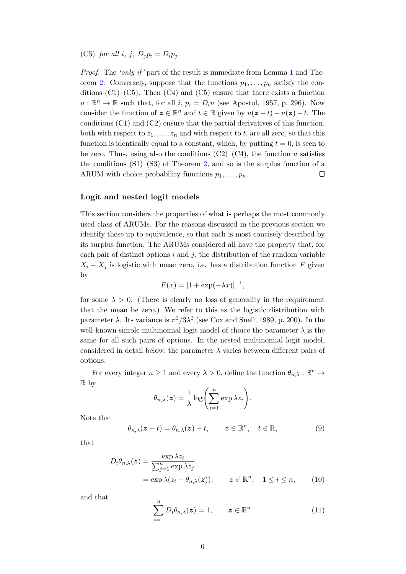(C5) for all i, j,  $D_i p_i = D_i p_j$ .

*Proof.* The 'only if' part of the result is immediate from Lemma [1](#page-2-0) and The-orem [2.](#page-3-0) Conversely, suppose that the functions  $p_1, \ldots, p_n$  satisfy the conditions  $(C1)$ – $(C5)$ . Then  $(C4)$  and  $(C5)$  ensure that there exists a function  $u: \mathbb{R}^n \to \mathbb{R}$  such that, for all i,  $p_i = D_i u$  (see Apostol, 1957, p. 296). Now consider the function of  $\boldsymbol{z} \in \mathbb{R}^n$  and  $t \in \mathbb{R}$  given by  $u(\boldsymbol{z} + t) - u(\boldsymbol{z}) - t$ . The conditions (C1) and (C2) ensure that the partial derivatives of this function, both with respect to  $z_1, \ldots, z_n$  and with respect to t, are all zero, so that this function is identically equal to a constant, which, by putting  $t = 0$ , is seen to be zero. Thus, using also the conditions  $(C2)$ – $(C4)$ , the function u satisfies the conditions  $(S1)$ – $(S3)$  of Theorem [2,](#page-3-0) and so is the surplus function of a ARUM with choice probability functions  $p_1, \ldots, p_n$ .  $\Box$ 

### Logit and nested logit models

This section considers the properties of what is perhaps the most commonly used class of ARUMs. For the reasons discussed in the previous section we identify these up to equivalence, so that each is most concisely described by its surplus function. The ARUMs considered all have the property that, for each pair of distinct options  $i$  and  $j$ , the distribution of the random variable  $X_i - X_j$  is logistic with mean zero, i.e. has a distribution function F given by

$$
F(x) = [1 + \exp(-\lambda x)]^{-1},
$$

for some  $\lambda > 0$ . (There is clearly no loss of generality in the requirement that the mean be zero.) We refer to this as the logistic distribution with parameter  $\lambda$ . Its variance is  $\pi^2/3\lambda^2$  (see Cox and Snell, 1989, p. 200). In the well-known simple multinomial logit model of choice the parameter  $\lambda$  is the same for all such pairs of options. In the nested multinomial logit model, considered in detail below, the parameter  $\lambda$  varies between different pairs of options.

For every integer  $n \geq 1$  and every  $\lambda > 0$ , define the function  $\theta_{n,\lambda} : \mathbb{R}^n \to$ R by

$$
\theta_{n,\lambda}(z) = \frac{1}{\lambda} \log \left( \sum_{i=1}^n \exp \lambda z_i \right).
$$

Note that

$$
\theta_{n,\lambda}(z+t) = \theta_{n,\lambda}(z) + t, \qquad z \in \mathbb{R}^n, \quad t \in \mathbb{R}, \tag{9}
$$

that

$$
D_i \theta_{n,\lambda}(z) = \frac{\exp \lambda z_i}{\sum_{j=1}^n \exp \lambda z_j}
$$
  
=  $\exp \lambda (z_i - \theta_{n,\lambda}(z)), \qquad z \in \mathbb{R}^n, \quad 1 \le i \le n,$  (10)

and that

<span id="page-5-0"></span>
$$
\sum_{i=1}^{n} D_i \theta_{n,\lambda}(z) = 1, \qquad z \in \mathbb{R}^n.
$$
 (11)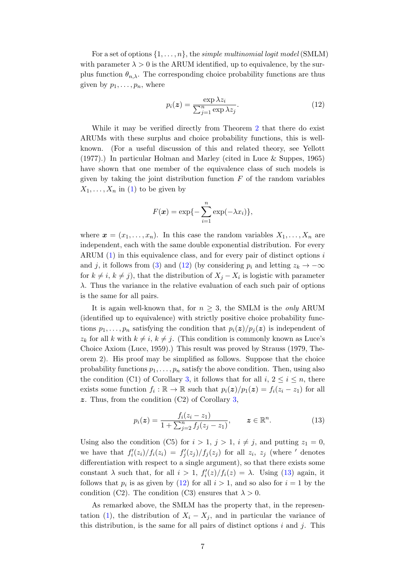For a set of options  $\{1, \ldots, n\}$ , the simple multinomial logit model (SMLM) with parameter  $\lambda > 0$  is the ARUM identified, up to equivalence, by the surplus function  $\theta_{n,\lambda}$ . The corresponding choice probability functions are thus given by  $p_1, \ldots, p_n$ , where

<span id="page-6-0"></span>
$$
p_i(z) = \frac{\exp \lambda z_i}{\sum_{j=1}^n \exp \lambda z_j}.
$$
 (12)

While it may be verified directly from Theorem [2](#page-3-0) that there do exist ARUMs with these surplus and choice probability functions, this is wellknown. (For a useful discussion of this and related theory, see Yellott (1977).) In particular Holman and Marley (cited in Luce & Suppes, 1965) have shown that one member of the equivalence class of such models is given by taking the joint distribution function  $F$  of the random variables  $X_1, \ldots, X_n$  in [\(1\)](#page-1-0) to be given by

$$
F(\boldsymbol{x}) = \exp\{-\sum_{i=1}^n \exp(-\lambda x_i)\},\
$$

where  $\mathbf{x} = (x_1, \ldots, x_n)$ . In this case the random variables  $X_1, \ldots, X_n$  are independent, each with the same double exponential distribution. For every ARUM [\(1\)](#page-1-0) in this equivalence class, and for every pair of distinct options i and j, it follows from [\(3\)](#page-1-1) and [\(12\)](#page-6-0) (by considering  $p_i$  and letting  $z_k \to -\infty$ for  $k \neq i$ ,  $k \neq j$ , that the distribution of  $X_j - X_i$  is logistic with parameter  $\lambda$ . Thus the variance in the relative evaluation of each such pair of options is the same for all pairs.

It is again well-known that, for  $n \geq 3$ , the SMLM is the only ARUM (identified up to equivalence) with strictly positive choice probability functions  $p_1, \ldots, p_n$  satisfying the condition that  $p_i(z)/p_j(z)$  is independent of  $z_k$  for all k with  $k \neq i$ ,  $k \neq j$ . (This condition is commonly known as Luce's Choice Axiom (Luce, 1959).) This result was proved by Strauss (1979, Theorem 2). His proof may be simplified as follows. Suppose that the choice probability functions  $p_1, \ldots, p_n$  satisfy the above condition. Then, using also the condition (C1) of Corollary [3,](#page-4-1) it follows that for all  $i, 2 \leq i \leq n$ , there exists some function  $f_i : \mathbb{R} \to \mathbb{R}$  such that  $p_i(z)/p_1(z) = f_i(z_i - z_1)$  for all z. Thus, from the condition (C2) of Corollary [3,](#page-4-1)

<span id="page-6-1"></span>
$$
p_i(z) = \frac{f_i(z_i - z_1)}{1 + \sum_{j=2}^n f_j(z_j - z_1)}, \qquad z \in \mathbb{R}^n.
$$
 (13)

Using also the condition (C5) for  $i > 1$ ,  $j > 1$ ,  $i \neq j$ , and putting  $z_1 = 0$ , we have that  $f_i'(z_i)/f_i(z_i) = f_j'(z_j)/f_j(z_j)$  for all  $z_i$ ,  $z_j$  (where ' denotes differentiation with respect to a single argument), so that there exists some constant  $\lambda$  such that, for all  $i > 1$ ,  $f_i'(z)/f_i(z) = \lambda$ . Using [\(13\)](#page-6-1) again, it follows that  $p_i$  is as given by [\(12\)](#page-6-0) for all  $i > 1$ , and so also for  $i = 1$  by the condition (C2). The condition (C3) ensures that  $\lambda > 0$ .

As remarked above, the SMLM has the property that, in the represen-tation [\(1\)](#page-1-0), the distribution of  $X_i - X_j$ , and in particular the variance of this distribution, is the same for all pairs of distinct options  $i$  and  $j$ . This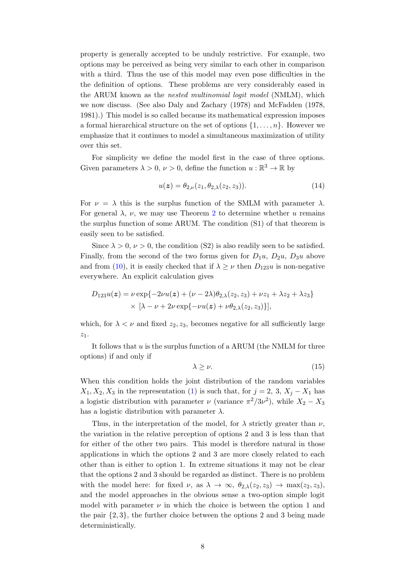property is generally accepted to be unduly restrictive. For example, two options may be perceived as being very similar to each other in comparison with a third. Thus the use of this model may even pose difficulties in the the definition of options. These problems are very considerably eased in the ARUM known as the nested multinomial logit model (NMLM), which we now discuss. (See also Daly and Zachary (1978) and McFadden (1978, 1981).) This model is so called because its mathematical expression imposes a formal hierarchical structure on the set of options  $\{1, \ldots, n\}$ . However we emphasize that it continues to model a simultaneous maximization of utility over this set.

For simplicity we define the model first in the case of three options. Given parameters  $\lambda > 0$ ,  $\nu > 0$ , define the function  $u : \mathbb{R}^3 \to \mathbb{R}$  by

<span id="page-7-0"></span>
$$
u(z) = \theta_{2,\nu}(z_1, \theta_{2,\lambda}(z_2, z_3)).
$$
\n(14)

For  $\nu = \lambda$  this is the surplus function of the SMLM with parameter  $\lambda$ . For general  $\lambda$ ,  $\nu$ , we may use Theorem [2](#page-3-0) to determine whether u remains the surplus function of some ARUM. The condition (S1) of that theorem is easily seen to be satisfied.

Since  $\lambda > 0$ ,  $\nu > 0$ , the condition (S2) is also readily seen to be satisfied. Finally, from the second of the two forms given for  $D_1u$ ,  $D_2u$ ,  $D_3u$  above and from [\(10\)](#page-5-0), it is easily checked that if  $\lambda \geq \nu$  then  $D_{123}u$  is non-negative everywhere. An explicit calculation gives

$$
D_{123}u(z) = \nu \exp\{-2\nu u(z) + (\nu - 2\lambda)\theta_{2,\lambda}(z_2, z_3) + \nu z_1 + \lambda z_2 + \lambda z_3\}
$$
  
 
$$
\times [\lambda - \nu + 2\nu \exp\{-\nu u(z) + \nu \theta_{2,\lambda}(z_2, z_3)\}],
$$

which, for  $\lambda < \nu$  and fixed  $z_2, z_3$ , becomes negative for all sufficiently large  $z_1$ .

It follows that  $u$  is the surplus function of a ARUM (the NMLM for three options) if and only if

$$
\lambda \ge \nu. \tag{15}
$$

When this condition holds the joint distribution of the random variables  $X_1, X_2, X_3$  in the representation [\(1\)](#page-1-0) is such that, for  $j = 2, 3, X_j - X_1$  has a logistic distribution with parameter  $\nu$  (variance  $\pi^2/3\nu^2$ ), while  $X_2 - X_3$ has a logistic distribution with parameter  $\lambda$ .

Thus, in the interpretation of the model, for  $\lambda$  strictly greater than  $\nu$ , the variation in the relative perception of options 2 and 3 is less than that for either of the other two pairs. This model is therefore natural in those applications in which the options 2 and 3 are more closely related to each other than is either to option 1. In extreme situations it may not be clear that the options 2 and 3 should be regarded as distinct. There is no problem with the model here: for fixed  $\nu$ , as  $\lambda \to \infty$ ,  $\theta_{2,\lambda}(z_2, z_3) \to \max(z_2, z_3)$ , and the model approaches in the obvious sense a two-option simple logit model with parameter  $\nu$  in which the choice is between the option 1 and the pair  $\{2, 3\}$ , the further choice between the options 2 and 3 being made deterministically.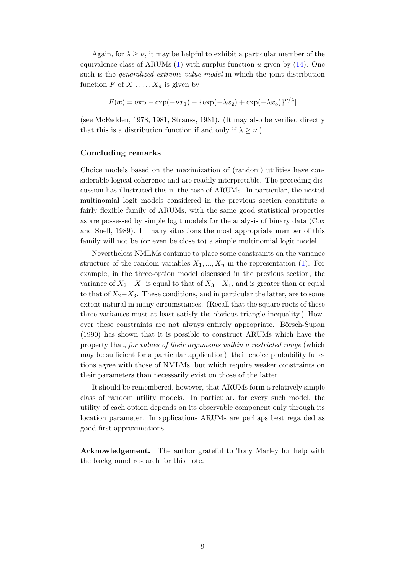Again, for  $\lambda \geq \nu$ , it may be helpful to exhibit a particular member of the equivalence class of ARUMs  $(1)$  with surplus function u given by  $(14)$ . One such is the *generalized extreme value model* in which the joint distribution function F of  $X_1, \ldots, X_n$  is given by

$$
F(\boldsymbol{x}) = \exp[-\exp(-\nu x_1) - \{\exp(-\lambda x_2) + \exp(-\lambda x_3)\}^{\nu/\lambda}]
$$

(see McFadden, 1978, 1981, Strauss, 1981). (It may also be verified directly that this is a distribution function if and only if  $\lambda \geq \nu$ .)

#### Concluding remarks

Choice models based on the maximization of (random) utilities have considerable logical coherence and are readily interpretable. The preceding discussion has illustrated this in the case of ARUMs. In particular, the nested multinomial logit models considered in the previous section constitute a fairly flexible family of ARUMs, with the same good statistical properties as are possessed by simple logit models for the analysis of binary data (Cox and Snell, 1989). In many situations the most appropriate member of this family will not be (or even be close to) a simple multinomial logit model.

Nevertheless NMLMs continue to place some constraints on the variance structure of the random variables  $X_1, ..., X_n$  in the representation [\(1\)](#page-1-0). For example, in the three-option model discussed in the previous section, the variance of  $X_2 - X_1$  is equal to that of  $X_3 - X_1$ , and is greater than or equal to that of  $X_2-X_3$ . These conditions, and in particular the latter, are to some extent natural in many circumstances. (Recall that the square roots of these three variances must at least satisfy the obvious triangle inequality.) However these constraints are not always entirely appropriate. Börsch-Supan (1990) has shown that it is possible to construct ARUMs which have the property that, for values of their arguments within a restricted range (which may be sufficient for a particular application), their choice probability functions agree with those of NMLMs, but which require weaker constraints on their parameters than necessarily exist on those of the latter.

It should be remembered, however, that ARUMs form a relatively simple class of random utility models. In particular, for every such model, the utility of each option depends on its observable component only through its location parameter. In applications ARUMs are perhaps best regarded as good first approximations.

Acknowledgement. The author grateful to Tony Marley for help with the background research for this note.